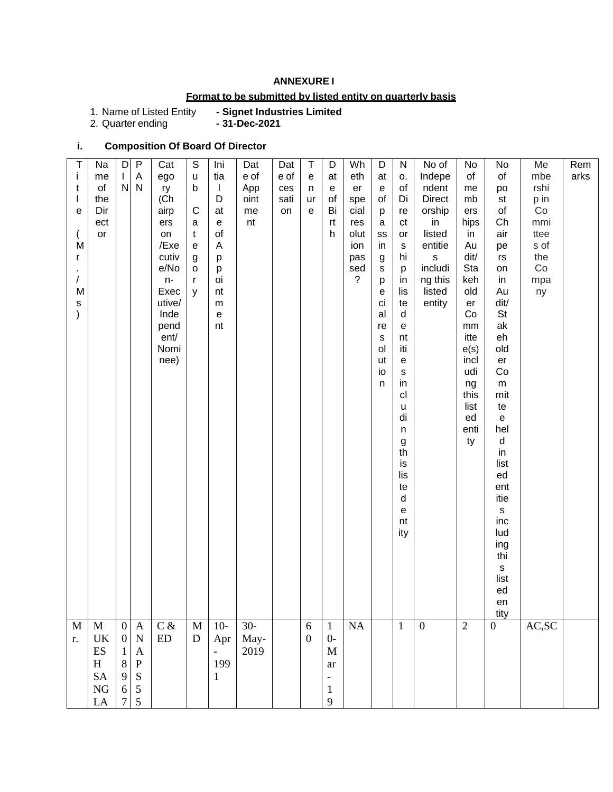### **ANNEXURE I**

## **Format to be submitted by listed entity on quarterly basis**

1. Name of Listed Entity<br>2. Quarter ending

- Signet Industries Limited<br>- 31-Dec-2021

### **i. Composition Of Board Of Director**

| Τ<br>Ť<br>t<br>$\overline{\phantom{a}}$<br>$\mathbf e$<br>M<br>r<br>T<br>M<br>$\mathsf{s}$<br>$\mathcal{E}$ | Na<br>me<br>of<br>the<br>Dir<br>ect<br>$\mathsf{or}\,$ | D<br>L<br>${\sf N}$                                    | P<br>Α<br>N                                                                        | Cat<br>ego<br>ry<br>(Ch<br>airp<br>ers<br>on<br>/Exe<br>cutiv<br>e/No<br>n-<br>Exec<br>utive/<br>Inde<br>pend<br>ent/<br>Nomi<br>nee) | $\mathbb S$<br>$\sf u$<br>b<br>$\mathsf{C}$<br>a<br>$\mathsf{t}$<br>${\bf e}$<br>$\boldsymbol{g}$<br>$\mathsf{o}$<br>$\mathsf{r}$<br>y | Ini<br>tia<br>$\mathbf{I}$<br>D<br>at<br>$\mathsf{e}% _{0}\left( \mathsf{e}\right)$<br>of<br>A<br>p<br>p<br>oi<br>nt<br>${\sf m}$<br>$\mathsf{e}% _{0}\left( \mathsf{e}\right)$<br>nt | Dat<br>e of<br>App<br>oint<br>me<br>nt | Dat<br>e of<br>ces<br>sati<br>on | Τ<br>e<br>n<br>ur<br>e               | D<br>at<br>e<br>of<br>Bi<br>rt<br>h                                    | Wh<br>eth<br>er<br>spe<br>cial<br>res<br>olut<br>ion<br>pas<br>sed<br>? | D<br>at<br>e<br>of<br>р<br>$\mathsf a$<br>SS<br>in<br>g<br>$\mathsf{s}$<br>p<br>е<br>ci<br>al<br>re<br>$\mathsf{s}$<br>ol<br>ut<br>io<br>n | ${\sf N}$<br>о.<br>of<br>Di<br>re<br>ct<br>or<br>$\mathbf S$<br>hi<br>p<br>in<br>lis<br>te<br>d<br>e<br>nt<br>iti<br>${\bf e}$<br>$\mathsf{s}$<br>in<br>cl<br>$\sf u$<br>di<br>$\sf n$<br>g<br>th<br>is<br>lis<br>te<br>$\sf d$<br>$\mathsf{e}% _{t}\left( t\right)$<br>nt<br>ity | No of<br>Indepe<br>ndent<br>Direct<br>orship<br>in<br>listed<br>entitie<br>$\mathsf{s}$<br>includi<br>ng this<br>listed<br>entity | No<br>of<br>me<br>mb<br>ers<br>hips<br>in<br>Au<br>dit/<br>Sta<br>keh<br>old<br>er<br>Co<br>$\mathsf{mm}$<br>itte<br>e(s)<br>incl<br>udi<br>ng<br>this<br>list<br>ed<br>enti<br>ty | No<br>of<br>po<br>st<br>of<br>Ch<br>air<br>pe<br>rs<br>on<br>in<br>Au<br>dit/<br><b>St</b><br>ak<br>eh<br>old<br>er<br>Co<br>m<br>mit<br>te<br>${\bf e}$<br>hel<br>d<br>in<br>list<br>ed<br>ent<br>itie<br>$\mathsf{s}$<br>inc<br>lud<br>ing<br>thi<br>$\mathsf{s}$<br>list<br>ed<br>en | Me<br>mbe<br>rshi<br>p in<br>Co<br>mmi<br>ttee<br>s of<br>the<br>Co<br>mpa<br>ny | Rem<br>arks |
|-------------------------------------------------------------------------------------------------------------|--------------------------------------------------------|--------------------------------------------------------|------------------------------------------------------------------------------------|---------------------------------------------------------------------------------------------------------------------------------------|----------------------------------------------------------------------------------------------------------------------------------------|---------------------------------------------------------------------------------------------------------------------------------------------------------------------------------------|----------------------------------------|----------------------------------|--------------------------------------|------------------------------------------------------------------------|-------------------------------------------------------------------------|--------------------------------------------------------------------------------------------------------------------------------------------|-----------------------------------------------------------------------------------------------------------------------------------------------------------------------------------------------------------------------------------------------------------------------------------|-----------------------------------------------------------------------------------------------------------------------------------|------------------------------------------------------------------------------------------------------------------------------------------------------------------------------------|-----------------------------------------------------------------------------------------------------------------------------------------------------------------------------------------------------------------------------------------------------------------------------------------|----------------------------------------------------------------------------------|-------------|
| M<br>r.                                                                                                     | $\mathbf M$<br>UK<br>ES<br>H<br><b>SA</b><br><b>NG</b> | $\overline{0}$<br>$\mathbf{0}$<br>1<br>8<br>9<br>$6\,$ | $\mathbf{A}$<br>${\bf N}$<br>$\mathbf{A}$<br>${\bf P}$<br>S<br>$\mathfrak{S}$<br>5 | $C$ &<br>ED                                                                                                                           | $\mathbf M$<br>$\mathbf D$                                                                                                             | $10-$<br>Apr<br>$\equiv$<br>199<br>1                                                                                                                                                  | $30 -$<br>May-<br>2019                 |                                  | $\boldsymbol{6}$<br>$\boldsymbol{0}$ | $\mathbf{1}$<br>$0-$<br>M<br>ar<br>$\blacksquare$<br>$\mathbf{1}$<br>9 | NA                                                                      |                                                                                                                                            | $\mathbf{1}$                                                                                                                                                                                                                                                                      | $\boldsymbol{0}$                                                                                                                  | $\overline{2}$                                                                                                                                                                     | tity<br>$\mathbf{0}$                                                                                                                                                                                                                                                                    | $\mathbf{AC},\!\mathbf{SC}$                                                      |             |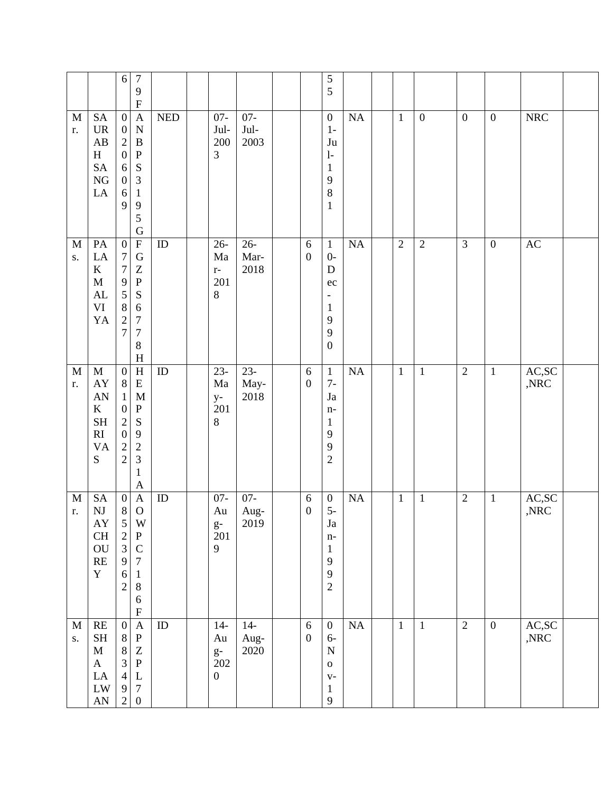|                            |                                                                                                                       | $\boldsymbol{7}$<br>$\sqrt{6}$<br>$\overline{9}$<br>${\bf F}$                                                                                                                                                                                                         |            |                                                |                          |                                | $\sqrt{5}$<br>5                                                                                           |                 |                |                  |                  |                  |                         |  |
|----------------------------|-----------------------------------------------------------------------------------------------------------------------|-----------------------------------------------------------------------------------------------------------------------------------------------------------------------------------------------------------------------------------------------------------------------|------------|------------------------------------------------|--------------------------|--------------------------------|-----------------------------------------------------------------------------------------------------------|-----------------|----------------|------------------|------------------|------------------|-------------------------|--|
| $\mathbf M$<br>r.          | <b>SA</b><br>$\ensuremath{\text{UR}}\xspace$<br>AB<br>$\, {\rm H}$<br>$\operatorname{SA}$<br>${\rm NG}$<br>${\rm LA}$ | $\boldsymbol{0}$<br>$\mathbf{A}$<br>$\boldsymbol{0}$<br>${\bf N}$<br>$\sqrt{2}$<br>$\, {\bf B}$<br>$\boldsymbol{0}$<br>${\bf P}$<br>${\bf S}$<br>$\sqrt{6}$<br>3<br>$\boldsymbol{0}$<br>6<br>$\mathbf{1}$<br>9<br>9<br>5<br>$\mathbf G$                               | <b>NED</b> | $07 -$<br>Jul-<br>200<br>$\mathfrak{Z}$        | $07 -$<br>$Jul-$<br>2003 |                                | $\overline{0}$<br>$1-$<br>$\mathrm{J}\mathrm{u}$<br>$1-$<br>$\mathbf{1}$<br>9<br>$\, 8$<br>$\mathbf{1}$   | NA              | $\mathbf{1}$   | $\boldsymbol{0}$ | $\boldsymbol{0}$ | $\mathbf{0}$     | <b>NRC</b>              |  |
| $\mathbf M$<br>$S_{\star}$ | PA<br>$\rm LA$<br>$\bf K$<br>$\mathbf M$<br>AL<br>VI<br>YA                                                            | $\overline{\mathrm{F}}$<br>$\boldsymbol{0}$<br>$\boldsymbol{7}$<br>$\mathbf G$<br>$\boldsymbol{7}$<br>Z<br>9<br>${\bf P}$<br>5<br>${\bf S}$<br>$\,8\,$<br>6<br>$\overline{c}$<br>$\overline{7}$<br>$\overline{7}$<br>$\overline{7}$<br>8<br>$\boldsymbol{\mathrm{H}}$ | $\rm ID$   | $26 -$<br>Ma<br>$\mathbf{r}$ –<br>201<br>$8\,$ | $26 -$<br>Mar-<br>2018   | $\sqrt{6}$<br>$\boldsymbol{0}$ | $\mathbf{1}$<br>$0-$<br>D<br>ec<br>$\overline{\phantom{0}}$<br>$\mathbf{1}$<br>9<br>9<br>$\boldsymbol{0}$ | NA              | $\overline{2}$ | $\overline{2}$   | $\overline{3}$   | $\boldsymbol{0}$ | $\mathbf{A}\mathbf{C}$  |  |
| $\mathbf M$<br>r.          | $\mathbf M$<br>${\rm AY}$<br>AN<br>$\bf K$<br><b>SH</b><br>$\mathbf{R}\mathbf{I}$<br><b>VA</b><br>${\bf S}$           | $\overline{\rm H}$<br>$\boldsymbol{0}$<br>${\bf E}$<br>$\, 8$<br>M<br>$\mathbf{1}$<br>$\boldsymbol{0}$<br>${\bf P}$<br>$\overline{c}$<br>S<br>$\overline{0}$<br>9<br>$\sqrt{2}$<br>$\overline{c}$<br>$\overline{2}$<br>3<br>$\mathbf{1}$<br>$\mathbf{A}$              | ${\rm ID}$ | $23 -$<br>Ma<br>$y-$<br>201<br>$8\,$           | $23-$<br>May-<br>2018    | $\sqrt{6}$<br>$\boldsymbol{0}$ | $\mathbf{1}$<br>$7-$<br>$\mathrm{Ja}$<br>$n-$<br>$\mathbf{1}$<br>9<br>9<br>$\mathfrak{2}$                 | <b>NA</b>       | $\mathbf{1}$   | $\mathbf{1}$     | $\overline{2}$   | $\mathbf{1}$     | AC, SC<br>,NRC          |  |
| $\mathbf M$<br>r.          | <b>SA</b><br>$\mathbf{N}\mathbf{J}$<br>AY<br>$\operatorname{CH}$<br>${\rm OU}$<br>$\mathbf{RE}$<br>$\mathbf Y$        | $\boldsymbol{\mathsf{A}}$<br>$\boldsymbol{0}$<br>$8\,$<br>$\mathbf O$<br>$\mathfrak{S}$<br>W<br>$\frac{2}{3}$<br>${\bf P}$<br>$\mathsf C$<br>9<br>$\boldsymbol{7}$<br>6<br>$\mathbf{1}$<br>$\,8\,$<br>$\overline{2}$<br>$\sqrt{6}$<br>$\boldsymbol{\mathrm{F}}$       | $\rm ID$   | $07 -$<br>Au<br>$rac{g}{201}$<br>9             | $07 -$<br>Aug-<br>2019   | $\sqrt{6}$<br>$\boldsymbol{0}$ | $\boldsymbol{0}$<br>$5-$<br>Ja<br>$n-$<br>$\mathbf{1}$<br>9<br>$\overline{9}$<br>$\overline{2}$           | $\rm NA$        | $\mathbf{1}$   | $\mathbf{1}$     | $\overline{2}$   | $\mathbf{1}$     | AC,SC<br>$,\!{\rm NRC}$ |  |
| $\mathbf M$<br>S.          | RE<br>$\operatorname{SH}$<br>$\mathbf{M}$<br>$\mathbf{A}$<br>${\rm LA}$<br>${\rm LW}$<br>${\rm AN}$                   | $\mathbf{A}$<br>$\boldsymbol{0}$<br>${\bf P}$<br>$\, 8$<br>$\,8\,$<br>$\ensuremath{\mathbf{Z}}$<br>$\overline{3}$<br>${\bf P}$<br>$\overline{4}$<br>$\mathbf L$<br>$\boldsymbol{7}$<br>$\overline{9}$<br>$\sqrt{2}$<br>$\boldsymbol{0}$                               | $\rm ID$   | $14-$<br>Au<br>$g-$<br>202<br>$\boldsymbol{0}$ | $14-$<br>Aug-<br>2020    | $\sqrt{6}$<br>$\boldsymbol{0}$ | $\boldsymbol{0}$<br>$6-$<br>$\mathbf N$<br>${\bf O}$<br>$V -$<br>$\mathbf{1}$<br>$\overline{9}$           | $\overline{NA}$ | $\mathbf{1}$   | $\mathbf{1}$     | $\overline{2}$   | $\boldsymbol{0}$ | AC,SC<br>,NRC           |  |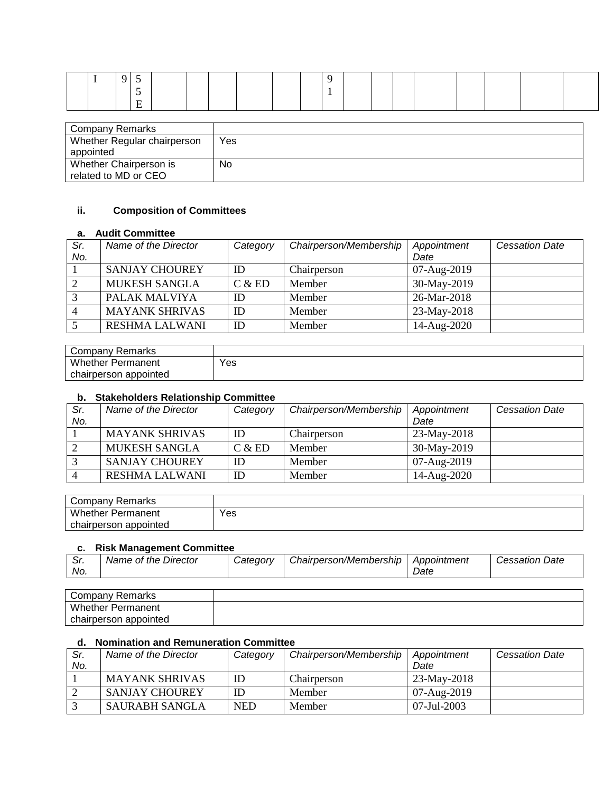| Company Remarks             |     |
|-----------------------------|-----|
| Whether Regular chairperson | Yes |
| appointed                   |     |
| Whether Chairperson is      | No  |
| related to MD or CEO        |     |

## **ii. Composition of Committees**

### **a. Audit Committee**

| Sr. | Name of the Director  | Category | Chairperson/Membership | Appointment | <b>Cessation Date</b> |
|-----|-----------------------|----------|------------------------|-------------|-----------------------|
| No. |                       |          |                        | Date        |                       |
|     | <b>SANJAY CHOUREY</b> | ID       | Chairperson            | 07-Aug-2019 |                       |
|     | <b>MUKESH SANGLA</b>  | C & E D  | Member                 | 30-May-2019 |                       |
|     | PALAK MALVIYA         | ID       | Member                 | 26-Mar-2018 |                       |
|     | <b>MAYANK SHRIVAS</b> | ID       | Member                 | 23-May-2018 |                       |
|     | <b>RESHMA LALWANI</b> | ID       | Member                 | 14-Aug-2020 |                       |

| Company Remarks          |     |
|--------------------------|-----|
| Whether i<br>Permanent   | Yes |
| chairperson<br>appointed |     |

#### **b. Stakeholders Relationship Committee**

| Sr. | Name of the Director  | Category | Chairperson/Membership | Appointment | <b>Cessation Date</b> |
|-----|-----------------------|----------|------------------------|-------------|-----------------------|
| No. |                       |          |                        | Date        |                       |
|     | <b>MAYANK SHRIVAS</b> | ID       | Chairperson            | 23-May-2018 |                       |
|     | <b>MUKESH SANGLA</b>  | C & E D  | Member                 | 30-May-2019 |                       |
|     | <b>SANJAY CHOUREY</b> | ID       | Member                 | 07-Aug-2019 |                       |
|     | <b>RESHMA LALWANI</b> | ID       | Member                 | 14-Aug-2020 |                       |

| Company Remarks          |     |
|--------------------------|-----|
| <b>Whether Permanent</b> | Yes |
| chairperson appointed    |     |

#### **c. Risk Management Committee**

| Director<br>Name of the .<br>c.<br>Date<br>Category<br>Chairperson/Membership<br>Appointment<br>Cessation '<br>. اد<br>No.<br>Date |  |  |  |
|------------------------------------------------------------------------------------------------------------------------------------|--|--|--|
|                                                                                                                                    |  |  |  |

| Company Remarks          |  |
|--------------------------|--|
| <b>Whether Permanent</b> |  |
| chairperson appointed    |  |

#### **d. Nomination and Remuneration Committee**

| Sr. | Name of the Director  | Category   | Chairperson/Membership | Appointment   | <b>Cessation Date</b> |
|-----|-----------------------|------------|------------------------|---------------|-----------------------|
| No. |                       |            |                        | Date          |                       |
|     | <b>MAYANK SHRIVAS</b> |            | Chairperson            | $23-May-2018$ |                       |
|     | <b>SANJAY CHOUREY</b> |            | Member                 | 07-Aug-2019   |                       |
|     | SAURABH SANGLA        | <b>NED</b> | Member                 | 07-Jul-2003   |                       |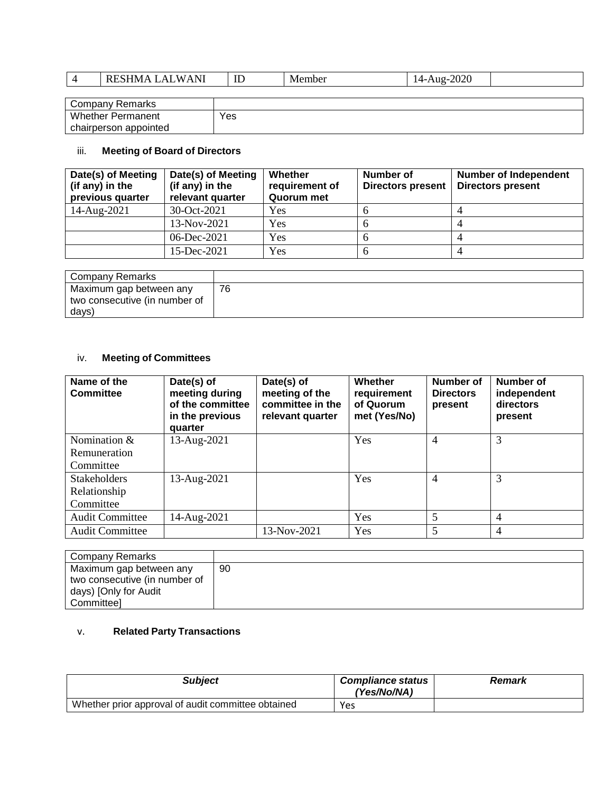| - -<br>$\mathbf{M}$<br>$\mathbf{v}$<br>™.<br>" | --<br>ID | $-$<br>IVI 6<br>mne | $\prime\prime$ |  |
|------------------------------------------------|----------|---------------------|----------------|--|
|                                                |          |                     |                |  |

| <b>Company Remarks</b>   |     |
|--------------------------|-----|
| <b>Whether Permanent</b> | Yes |
| chairperson appointed    |     |

# iii. **Meeting of Board of Directors**

| Date(s) of Meeting<br>(if any) in the<br>previous quarter | Date(s) of Meeting<br>(if any) in the<br>relevant quarter | Whether<br>requirement of<br>Quorum met | <b>Number of</b><br><b>Directors present</b> | <b>Number of Independent</b><br><b>Directors present</b> |
|-----------------------------------------------------------|-----------------------------------------------------------|-----------------------------------------|----------------------------------------------|----------------------------------------------------------|
| 14-Aug-2021                                               | $30-Oct-2021$                                             | Yes                                     |                                              |                                                          |
|                                                           | $13-Nov-2021$                                             | Yes                                     |                                              |                                                          |
|                                                           | 06-Dec-2021                                               | Yes                                     | n                                            |                                                          |
|                                                           | $15$ -Dec-2021                                            | Yes                                     |                                              |                                                          |

| Company Remarks               |    |
|-------------------------------|----|
| Maximum gap between any       | 76 |
| two consecutive (in number of |    |
| days)                         |    |

# iv. **Meeting of Committees**

| Name of the<br><b>Committee</b> | Date(s) of<br>meeting during<br>of the committee<br>in the previous<br>quarter | Date(s) of<br>meeting of the<br>committee in the<br>relevant quarter | Whether<br>requirement<br>of Quorum<br>met (Yes/No) | Number of<br><b>Directors</b><br>present | Number of<br>independent<br>directors<br>present |
|---------------------------------|--------------------------------------------------------------------------------|----------------------------------------------------------------------|-----------------------------------------------------|------------------------------------------|--------------------------------------------------|
| Nomination &                    | 13-Aug-2021                                                                    |                                                                      | Yes                                                 | $\overline{4}$                           | 3                                                |
| Remuneration                    |                                                                                |                                                                      |                                                     |                                          |                                                  |
| Committee                       |                                                                                |                                                                      |                                                     |                                          |                                                  |
| <b>Stakeholders</b>             | 13-Aug-2021                                                                    |                                                                      | Yes                                                 | 4                                        | 3                                                |
| Relationship                    |                                                                                |                                                                      |                                                     |                                          |                                                  |
| Committee                       |                                                                                |                                                                      |                                                     |                                          |                                                  |
| <b>Audit Committee</b>          | 14-Aug-2021                                                                    |                                                                      | Yes                                                 | 5                                        | 4                                                |
| <b>Audit Committee</b>          |                                                                                | 13-Nov-2021                                                          | Yes                                                 | 5                                        | 4                                                |

| Company Remarks               |    |
|-------------------------------|----|
| Maximum gap between any       | 90 |
| two consecutive (in number of |    |
| days) [Only for Audit         |    |
| <b>Committeel</b>             |    |

## v. **Related Party Transactions**

| <b>Subject</b>                                     | <b>Compliance status</b><br>(Yes/No/NA) | Remark |
|----------------------------------------------------|-----------------------------------------|--------|
| Whether prior approval of audit committee obtained | Yes                                     |        |